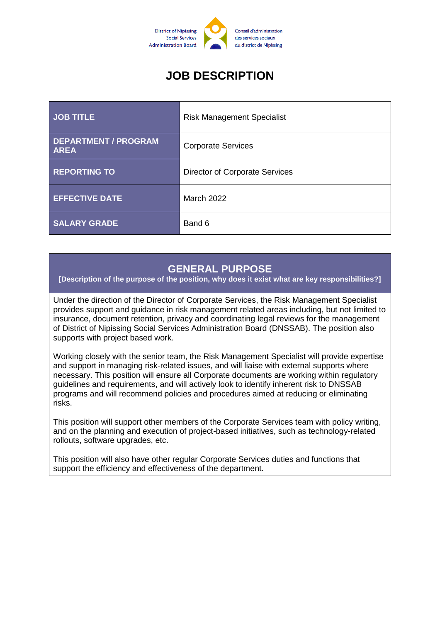

# **JOB DESCRIPTION**

| <b>JOB TITLE</b>                           | <b>Risk Management Specialist</b>     |
|--------------------------------------------|---------------------------------------|
| <b>DEPARTMENT / PROGRAM</b><br><b>AREA</b> | <b>Corporate Services</b>             |
| <b>REPORTING TO</b>                        | <b>Director of Corporate Services</b> |
| <b>EFFECTIVE DATE</b>                      | <b>March 2022</b>                     |
| <b>SALARY GRADE</b>                        | Band 6                                |

### **GENERAL PURPOSE**

**[Description of the purpose of the position, why does it exist what are key responsibilities?]**

Under the direction of the Director of Corporate Services, the Risk Management Specialist provides support and guidance in risk management related areas including, but not limited to insurance, document retention, privacy and coordinating legal reviews for the management of District of Nipissing Social Services Administration Board (DNSSAB). The position also supports with project based work.

Working closely with the senior team, the Risk Management Specialist will provide expertise and support in managing risk-related issues, and will liaise with external supports where necessary. This position will ensure all Corporate documents are working within regulatory guidelines and requirements, and will actively look to identify inherent risk to DNSSAB programs and will recommend policies and procedures aimed at reducing or eliminating risks.

This position will support other members of the Corporate Services team with policy writing, and on the planning and execution of project-based initiatives, such as technology-related rollouts, software upgrades, etc.

This position will also have other regular Corporate Services duties and functions that support the efficiency and effectiveness of the department.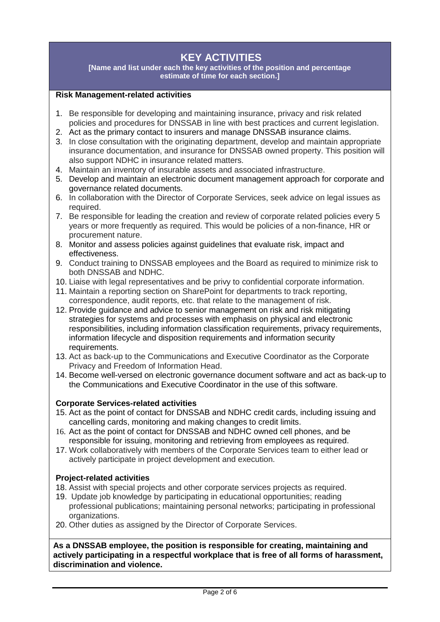## **KEY ACTIVITIES**

**[Name and list under each the key activities of the position and percentage estimate of time for each section.]**

#### **Risk Management-related activities**

- 1. Be responsible for developing and maintaining insurance, privacy and risk related policies and procedures for DNSSAB in line with best practices and current legislation.
- 2. Act as the primary contact to insurers and manage DNSSAB insurance claims.
- 3. In close consultation with the originating department, develop and maintain appropriate insurance documentation, and insurance for DNSSAB owned property. This position will also support NDHC in insurance related matters.
- 4. Maintain an inventory of insurable assets and associated infrastructure.
- 5. Develop and maintain an electronic document management approach for corporate and governance related documents.
- 6. In collaboration with the Director of Corporate Services, seek advice on legal issues as required.
- 7. Be responsible for leading the creation and review of corporate related policies every 5 years or more frequently as required. This would be policies of a non-finance, HR or procurement nature.
- 8. Monitor and assess policies against guidelines that evaluate risk, impact and effectiveness.
- 9. Conduct training to DNSSAB employees and the Board as required to minimize risk to both DNSSAB and NDHC.
- 10. Liaise with legal representatives and be privy to confidential corporate information.
- 11. Maintain a reporting section on SharePoint for departments to track reporting, correspondence, audit reports, etc. that relate to the management of risk.
- 12. Provide guidance and advice to senior management on risk and risk mitigating strategies for systems and processes with emphasis on physical and electronic responsibilities, including information classification requirements, privacy requirements, information lifecycle and disposition requirements and information security requirements.
- 13. Act as back-up to the Communications and Executive Coordinator as the Corporate Privacy and Freedom of Information Head.
- 14. Become well-versed on electronic governance document software and act as back-up to the Communications and Executive Coordinator in the use of this software.

#### **Corporate Services-related activities**

- 15. Act as the point of contact for DNSSAB and NDHC credit cards, including issuing and cancelling cards, monitoring and making changes to credit limits.
- 16. Act as the point of contact for DNSSAB and NDHC owned cell phones, and be responsible for issuing, monitoring and retrieving from employees as required.
- 17. Work collaboratively with members of the Corporate Services team to either lead or actively participate in project development and execution.

#### **Project-related activities**

- 18. Assist with special projects and other corporate services projects as required.
- 19. Update job knowledge by participating in educational opportunities; reading professional publications; maintaining personal networks; participating in professional organizations.
- 20. Other duties as assigned by the Director of Corporate Services.

**As a DNSSAB employee, the position is responsible for creating, maintaining and actively participating in a respectful workplace that is free of all forms of harassment, discrimination and violence.**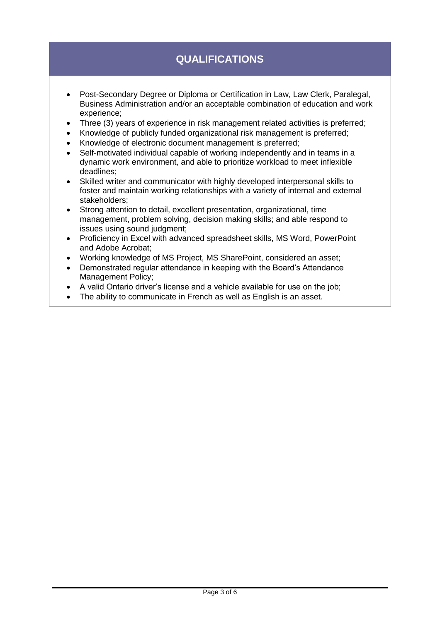# **QUALIFICATIONS**

- Post-Secondary Degree or Diploma or Certification in Law, Law Clerk, Paralegal, Business Administration and/or an acceptable combination of education and work experience;
- Three (3) years of experience in risk management related activities is preferred;
- Knowledge of publicly funded organizational risk management is preferred;
- Knowledge of electronic document management is preferred;
- Self-motivated individual capable of working independently and in teams in a dynamic work environment, and able to prioritize workload to meet inflexible deadlines;
- Skilled writer and communicator with highly developed interpersonal skills to foster and maintain working relationships with a variety of internal and external stakeholders;
- Strong attention to detail, excellent presentation, organizational, time management, problem solving, decision making skills; and able respond to issues using sound judgment;
- Proficiency in Excel with advanced spreadsheet skills, MS Word, PowerPoint and Adobe Acrobat;
- Working knowledge of MS Project, MS SharePoint, considered an asset;
- Demonstrated regular attendance in keeping with the Board's Attendance Management Policy;
- A valid Ontario driver's license and a vehicle available for use on the job;
- The ability to communicate in French as well as English is an asset.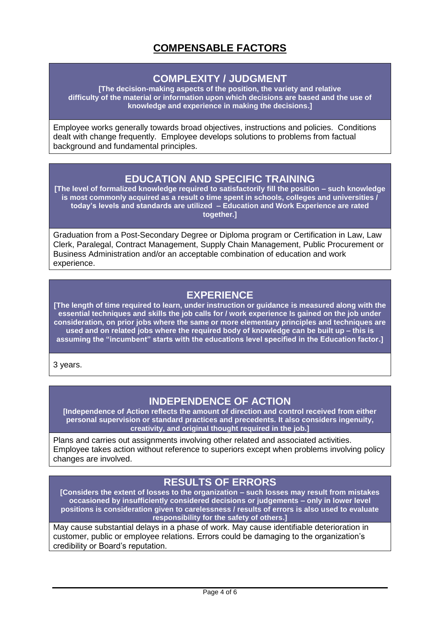# **COMPENSABLE FACTORS**

#### **COMPLEXITY / JUDGMENT**

**[The decision-making aspects of the position, the variety and relative difficulty of the material or information upon which decisions are based and the use of knowledge and experience in making the decisions.]**

Employee works generally towards broad objectives, instructions and policies. Conditions dealt with change frequently. Employee develops solutions to problems from factual background and fundamental principles.

### **EDUCATION AND SPECIFIC TRAINING**

**[The level of formalized knowledge required to satisfactorily fill the position – such knowledge is most commonly acquired as a result o time spent in schools, colleges and universities / today's levels and standards are utilized – Education and Work Experience are rated together.]**

Graduation from a Post-Secondary Degree or Diploma program or Certification in Law, Law Clerk, Paralegal, Contract Management, Supply Chain Management, Public Procurement or Business Administration and/or an acceptable combination of education and work experience.

## **EXPERIENCE**

**[The length of time required to learn, under instruction or guidance is measured along with the essential techniques and skills the job calls for / work experience Is gained on the job under consideration, on prior jobs where the same or more elementary principles and techniques are used and on related jobs where the required body of knowledge can be built up – this is assuming the "incumbent" starts with the educations level specified in the Education factor.]**

3 years.

### **INDEPENDENCE OF ACTION**

**[Independence of Action reflects the amount of direction and control received from either personal supervision or standard practices and precedents. It also considers ingenuity, creativity, and original thought required in the job.]**

Plans and carries out assignments involving other related and associated activities. Employee takes action without reference to superiors except when problems involving policy changes are involved.

#### **RESULTS OF ERRORS**

**[Considers the extent of losses to the organization – such losses may result from mistakes occasioned by insufficiently considered decisions or judgements – only in lower level positions is consideration given to carelessness / results of errors is also used to evaluate responsibility for the safety of others.]**

May cause substantial delays in a phase of work. May cause identifiable deterioration in customer, public or employee relations. Errors could be damaging to the organization's credibility or Board's reputation.